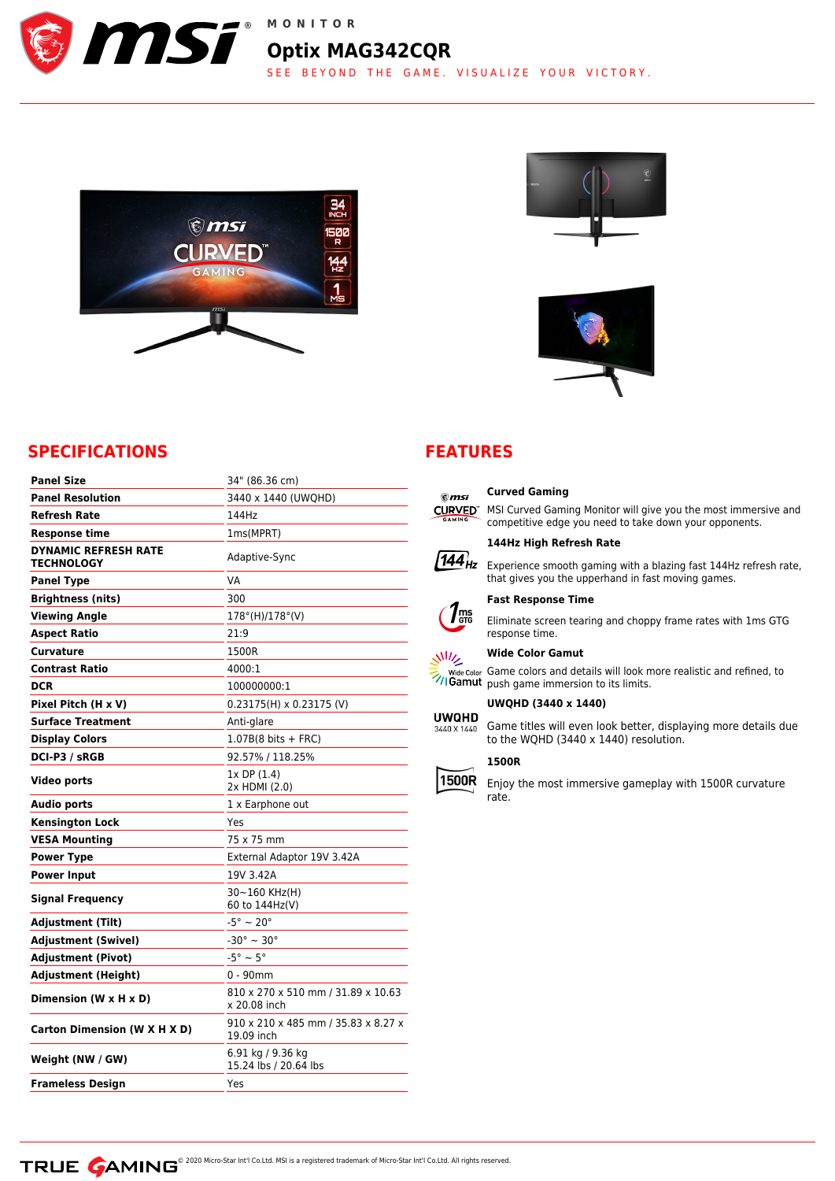

## **Omsi** 500 **CURVED**  $\frac{144}{12}$ ÏÏ





## **SPECIFICATIONS**

| <b>Panel Size</b>                         | 34" (86.36 cm)                                     |
|-------------------------------------------|----------------------------------------------------|
| <b>Panel Resolution</b>                   | 3440 x 1440 (UWQHD)                                |
| <b>Refresh Rate</b>                       | 144Hz                                              |
| <b>Response time</b>                      | 1ms(MPRT)                                          |
| <b>DYNAMIC REFRESH RATE</b><br>TECHNOLOGY | Adaptive-Sync                                      |
| <b>Panel Type</b>                         | VA                                                 |
| <b>Brightness (nits)</b>                  | 300                                                |
| <b>Viewing Angle</b>                      | $178^{\circ}$ (H)/ $178^{\circ}$ (V)               |
| <b>Aspect Ratio</b>                       | 21:9                                               |
| Curvature                                 | 1500R                                              |
| <b>Contrast Ratio</b>                     | 4000:1                                             |
| <b>DCR</b>                                | 100000000:1                                        |
| Pixel Pitch (H x V)                       | $0.23175(H) \times 0.23175$ (V)                    |
| <b>Surface Treatment</b>                  | Anti-glare                                         |
| <b>Display Colors</b>                     | $1.07B(8 \text{ bits } + \text{FRC})$              |
| <b>DCI-P3 / sRGB</b>                      | 92.57% / 118.25%                                   |
| Video ports                               | 1x DP (1.4)<br>2x HDMI (2.0)                       |
| <b>Audio ports</b>                        | 1 x Earphone out                                   |
| <b>Kensington Lock</b>                    | Yes                                                |
| <b>VESA Mounting</b>                      | 75 x 75 mm                                         |
| <b>Power Type</b>                         | External Adaptor 19V 3.42A                         |
| <b>Power Input</b>                        | 19V 3.42A                                          |
| Signal Frequency                          | 30~160 KHz(H)<br>60 to 144Hz(V)                    |
| <b>Adjustment (Tilt)</b>                  | $-5^{\circ} \sim 20^{\circ}$                       |
| <b>Adjustment (Swivel)</b>                | $-30^{\circ} \sim 30^{\circ}$                      |
| <b>Adjustment (Pivot)</b>                 | $-5^{\circ} \sim 5^{\circ}$                        |
| <b>Adjustment (Height)</b>                | $0 - 90$ mm                                        |
| Dimension (W x H x D)                     | 810 x 270 x 510 mm / 31.89 x 10.63<br>x 20.08 inch |
| Carton Dimension (W X H X D)              | 910 x 210 x 485 mm / 35.83 x 8.27 x<br>19.09 inch  |
| Weight (NW / GW)                          | 6.91 kg / 9.36 kg<br>15.24 lbs / 20.64 lbs         |
| <b>Frameless Design</b>                   | Yes                                                |

## **FEATURES**

# $\mathbf{\mathfrak{m}}$ si CURVED" MSI Curved Gaming Monitor will give you the most immersive and  $\sqrt{144}$  Experience smooth gaming with a blazing fast 144Hz refresh rate,  $\eta_{\tiny{\textrm{\tiny{grs}}}}$



**Wide Color Gamut**

Game colors and details will look more realistic and refined, to push game immersion to its limits.

Eliminate screen tearing and choppy frame rates with 1ms GTG

competitive edge you need to take down your opponents.

that gives you the upperhand in fast moving games.

#### **UWQHD (3440 x 1440)**

**Curved Gaming**

**144Hz High Refresh Rate**

**Fast Response Time**

response time.

**UWQHD** Game titles will even look better, displaying more details due 3440 X 1440 to the WQHD (3440 x 1440) resolution.

### **1500R**

1500R Enjoy the most immersive gameplay with 1500R curvature rate.